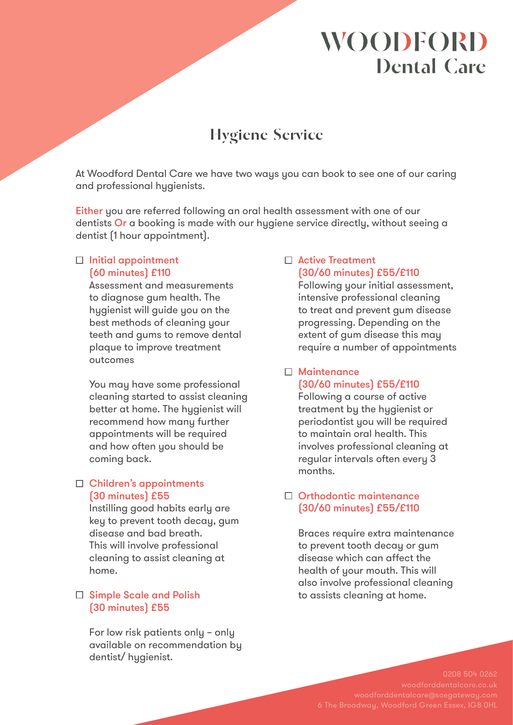# **WOODFORD Dental Care**

# **Hygiene Service**

At Woodford Dental Care we have two ways you can book to see one of our caring and professional hygienists.

Either you are referred following an oral health assessment with one of our dentists Or a booking is made with our hygiene service directly, without seeing a dentist (1 hour appointment).

# $\Box$  Initial appointment (60 minutes) £110

Assessment and measurements to diagnose gum health. The hygienist will guide you on the best methods of cleaning your teeth and gums to remove dental plaque to improve treatment outcomes

You may have some professional cleaning started to assist cleaning better at home. The hygienist will recommend how many further appointments will be required and how often you should be coming back.

# □ Children's appointments (30 minutes) £55

Instilling good habits early are key to prevent tooth decay, gum disease and bad breath. This will involve professional cleaning to assist cleaning at home.

## □ Simple Scale and Polish (30 minutes) £55

For low risk patients only – only available on recommendation by dentist/ hygienist.

# □ Active Treatment (30/60 minutes) £55/£110

Following your initial assessment, intensive professional cleaning to treat and prevent gum disease progressing. Depending on the extent of gum disease this may require a number of appointments

# $\Box$  Maintenance (30/60 minutes) £55/£110

Following a course of active treatment by the hygienist or periodontist you will be required to maintain oral health. This involves professional cleaning at regular intervals often every 3 months.

# □ Orthodontic maintenance (30/60 minutes) £55/£110

Braces require extra maintenance to prevent tooth decay or gum disease which can affect the health of your mouth. This will also involve professional cleaning to assists cleaning at home.